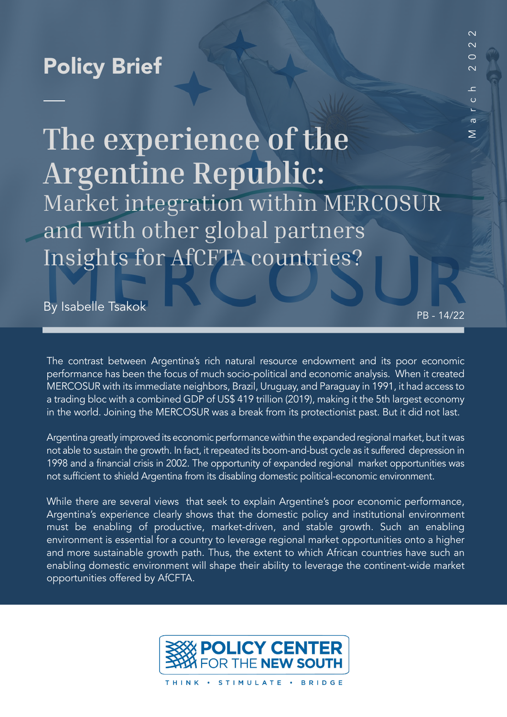## Policy Brief

# **The experience of the Argentine Republic:** Market integration within MERCOSUR and with other global partners Insights for AfCFTA countries?

By Isabelle Tsakok PB - 14/22

March 2022

ᆂ  $\mathfrak{c}$ 

 $\sigma$  $\geq$ 

 $\overline{\mathsf{C}}$ 

 $\overline{\mathsf{C}}$  $\sim$ 

The contrast between Argentina's rich natural resource endowment and its poor economic performance has been the focus of much socio-political and economic analysis. When it created MERCOSUR with its immediate neighbors, Brazil, Uruguay, and Paraguay in 1991, it had access to a trading bloc with a combined GDP of US\$ 419 trillion (2019), making it the 5th largest economy in the world. Joining the MERCOSUR was a break from its protectionist past. But it did not last.

Argentina greatly improved its economic performance within the expanded regional market, but it was not able to sustain the growth. In fact, it repeated its boom-and-bust cycle as it suffered depression in 1998 and a financial crisis in 2002. The opportunity of expanded regional market opportunities was not sufficient to shield Argentina from its disabling domestic political-economic environment.

While there are several views that seek to explain Argentine's poor economic performance, Argentina's experience clearly shows that the domestic policy and institutional environment must be enabling of productive, market-driven, and stable growth. Such an enabling environment is essential for a country to leverage regional market opportunities onto a higher and more sustainable growth path. Thus, the extent to which African countries have such an enabling domestic environment will shape their ability to leverage the continent-wide market opportunities offered by AfCFTA.

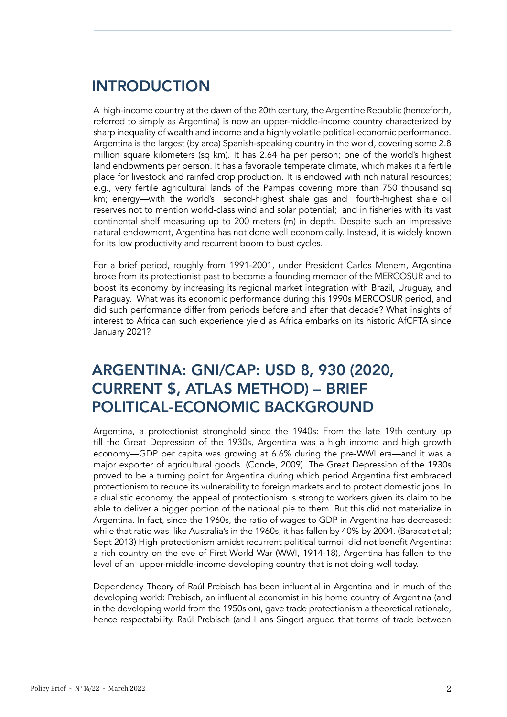## INTRODUCTION

A high-income country at the dawn of the 20th century, the Argentine Republic (henceforth, referred to simply as Argentina) is now an upper-middle-income country characterized by sharp inequality of wealth and income and a highly volatile political-economic performance. Argentina is the largest (by area) Spanish-speaking country in the world, covering some 2.8 million square kilometers (sq km). It has 2.64 ha per person; one of the world's highest land endowments per person. It has a favorable temperate climate, which makes it a fertile place for livestock and rainfed crop production. It is endowed with rich natural resources; e.g., very fertile agricultural lands of the Pampas covering more than 750 thousand sq km; energy—with the world's second-highest shale gas and fourth-highest shale oil reserves not to mention world-class wind and solar potential; and in fisheries with its vast continental shelf measuring up to 200 meters (m) in depth. Despite such an impressive natural endowment, Argentina has not done well economically. Instead, it is widely known for its low productivity and recurrent boom to bust cycles.

For a brief period, roughly from 1991-2001, under President Carlos Menem, Argentina broke from its protectionist past to become a founding member of the MERCOSUR and to boost its economy by increasing its regional market integration with Brazil, Uruguay, and Paraguay. What was its economic performance during this 1990s MERCOSUR period, and did such performance differ from periods before and after that decade? What insights of interest to Africa can such experience yield as Africa embarks on its historic AfCFTA since January 2021?

### ARGENTINA: GNI/CAP: USD 8, 930 (2020, CURRENT \$, ATLAS METHOD) – BRIEF POLITICAL-ECONOMIC BACKGROUND

Argentina, a protectionist stronghold since the 1940s: From the late 19th century up till the Great Depression of the 1930s, Argentina was a high income and high growth economy—GDP per capita was growing at 6.6% during the pre-WWI era—and it was a major exporter of agricultural goods. (Conde, 2009). The Great Depression of the 1930s proved to be a turning point for Argentina during which period Argentina first embraced protectionism to reduce its vulnerability to foreign markets and to protect domestic jobs. In a dualistic economy, the appeal of protectionism is strong to workers given its claim to be able to deliver a bigger portion of the national pie to them. But this did not materialize in Argentina. In fact, since the 1960s, the ratio of wages to GDP in Argentina has decreased: while that ratio was like Australia's in the 1960s, it has fallen by 40% by 2004. (Baracat et al; Sept 2013) High protectionism amidst recurrent political turmoil did not benefit Argentina: a rich country on the eve of First World War (WWI, 1914-18), Argentina has fallen to the level of an upper-middle-income developing country that is not doing well today.

Dependency Theory of Raúl Prebisch has been influential in Argentina and in much of the developing world: Prebisch, an influential economist in his home country of Argentina (and in the developing world from the 1950s on), gave trade protectionism a theoretical rationale, hence respectability. Raúl Prebisch (and Hans Singer) argued that terms of trade between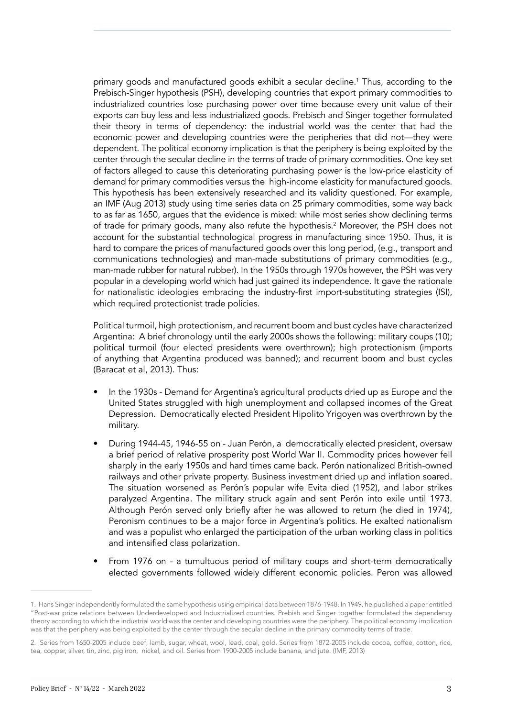primary goods and manufactured goods exhibit a secular decline.1 Thus, according to the Prebisch-Singer hypothesis (PSH), developing countries that export primary commodities to industrialized countries lose purchasing power over time because every unit value of their exports can buy less and less industrialized goods. Prebisch and Singer together formulated their theory in terms of dependency: the industrial world was the center that had the economic power and developing countries were the peripheries that did not—they were dependent. The political economy implication is that the periphery is being exploited by the center through the secular decline in the terms of trade of primary commodities. One key set of factors alleged to cause this deteriorating purchasing power is the low-price elasticity of demand for primary commodities versus the high-income elasticity for manufactured goods. This hypothesis has been extensively researched and its validity questioned. For example, an IMF (Aug 2013) study using time series data on 25 primary commodities, some way back to as far as 1650, argues that the evidence is mixed: while most series show declining terms of trade for primary goods, many also refute the hypothesis.<sup>2</sup> Moreover, the PSH does not account for the substantial technological progress in manufacturing since 1950. Thus, it is hard to compare the prices of manufactured goods over this long period, (e.g., transport and communications technologies) and man-made substitutions of primary commodities (e.g., man-made rubber for natural rubber). In the 1950s through 1970s however, the PSH was very popular in a developing world which had just gained its independence. It gave the rationale for nationalistic ideologies embracing the industry-first import-substituting strategies (ISI), which required protectionist trade policies.

Political turmoil, high protectionism, and recurrent boom and bust cycles have characterized Argentina: A brief chronology until the early 2000s shows the following: military coups (10); political turmoil (four elected presidents were overthrown); high protectionism (imports of anything that Argentina produced was banned); and recurrent boom and bust cycles (Baracat et al, 2013). Thus:

- In the 1930s Demand for Argentina's agricultural products dried up as Europe and the United States struggled with high unemployment and collapsed incomes of the Great Depression. Democratically elected President Hipolito Yrigoyen was overthrown by the military.
- During 1944-45, 1946-55 on Juan Perón, a democratically elected president, oversaw a brief period of relative prosperity post World War II. Commodity prices however fell sharply in the early 1950s and hard times came back. Perón nationalized British-owned railways and other private property. Business investment dried up and inflation soared. The situation worsened as Perón's popular wife Evita died (1952), and labor strikes paralyzed Argentina. The military struck again and sent Perón into exile until 1973. Although Perón served only briefly after he was allowed to return (he died in 1974), Peronism continues to be a major force in Argentina's politics. He exalted nationalism and was a populist who enlarged the participation of the urban working class in politics and intensified class polarization.
- From 1976 on a tumultuous period of military coups and short-term democratically elected governments followed widely different economic policies. Peron was allowed

<sup>1.</sup> Hans Singer independently formulated the same hypothesis using empirical data between 1876-1948. In 1949, he published a paper entitled "Post-war price relations between Underdeveloped and Industrialized countries. Prebish and Singer together formulated the dependency theory according to which the industrial world was the center and developing countries were the periphery. The political economy implication was that the periphery was being exploited by the center through the secular decline in the primary commodity terms of trade.

<sup>2.</sup> Series from 1650-2005 include beef, lamb, sugar, wheat, wool, lead, coal, gold. Series from 1872-2005 include cocoa, coffee, cotton, rice, tea, copper, silver, tin, zinc, pig iron, nickel, and oil. Series from 1900-2005 include banana, and jute. (IMF, 2013)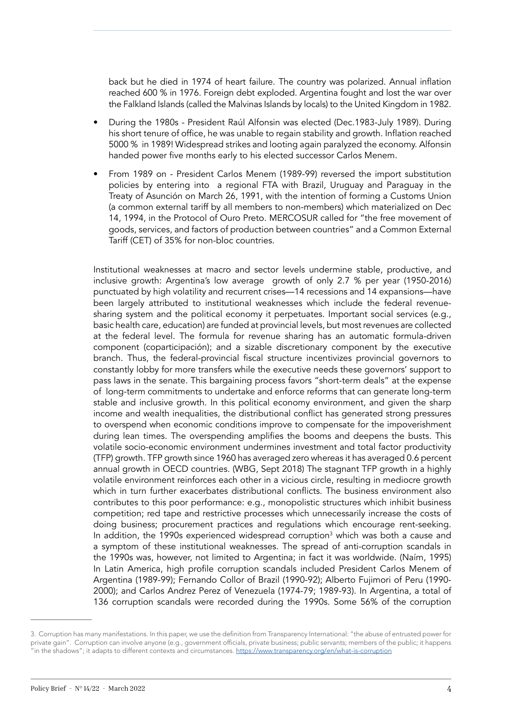back but he died in 1974 of heart failure. The country was polarized. Annual inflation reached 600 % in 1976. Foreign debt exploded. Argentina fought and lost the war over the Falkland Islands (called the Malvinas Islands by locals) to the United Kingdom in 1982.

- During the 1980s President Raúl Alfonsin was elected (Dec.1983-July 1989). During his short tenure of office, he was unable to regain stability and growth. Inflation reached 5000 % in 1989! Widespread strikes and looting again paralyzed the economy. Alfonsin handed power five months early to his elected successor Carlos Menem.
- From 1989 on President Carlos Menem (1989-99) reversed the import substitution policies by entering into a regional FTA with Brazil, Uruguay and Paraguay in the Treaty of Asunción on March 26, 1991, with the intention of forming a Customs Union (a common external tariff by all members to non-members) which materialized on Dec 14, 1994, in the Protocol of Ouro Preto. MERCOSUR called for "the free movement of goods, services, and factors of production between countries" and a Common External Tariff (CET) of 35% for non-bloc countries.

Institutional weaknesses at macro and sector levels undermine stable, productive, and inclusive growth: Argentina's low average growth of only 2.7 % per year (1950-2016) punctuated by high volatility and recurrent crises—14 recessions and 14 expansions—have been largely attributed to institutional weaknesses which include the federal revenuesharing system and the political economy it perpetuates. Important social services (e.g., basic health care, education) are funded at provincial levels, but most revenues are collected at the federal level. The formula for revenue sharing has an automatic formula-driven component (coparticipación); and a sizable discretionary component by the executive branch. Thus, the federal-provincial fiscal structure incentivizes provincial governors to constantly lobby for more transfers while the executive needs these governors' support to pass laws in the senate. This bargaining process favors "short-term deals" at the expense of long-term commitments to undertake and enforce reforms that can generate long-term stable and inclusive growth. In this political economy environment, and given the sharp income and wealth inequalities, the distributional conflict has generated strong pressures to overspend when economic conditions improve to compensate for the impoverishment during lean times. The overspending amplifies the booms and deepens the busts. This volatile socio-economic environment undermines investment and total factor productivity (TFP) growth. TFP growth since 1960 has averaged zero whereas it has averaged 0.6 percent annual growth in OECD countries. (WBG, Sept 2018) The stagnant TFP growth in a highly volatile environment reinforces each other in a vicious circle, resulting in mediocre growth which in turn further exacerbates distributional conflicts. The business environment also contributes to this poor performance: e.g., monopolistic structures which inhibit business competition; red tape and restrictive processes which unnecessarily increase the costs of doing business; procurement practices and regulations which encourage rent-seeking. In addition, the 1990s experienced widespread corruption<sup>3</sup> which was both a cause and a symptom of these institutional weaknesses. The spread of anti-corruption scandals in the 1990s was, however, not limited to Argentina; in fact it was worldwide. (Naím, 1995) In Latin America, high profile corruption scandals included President Carlos Menem of Argentina (1989-99); Fernando Collor of Brazil (1990-92); Alberto Fujimori of Peru (1990- 2000); and Carlos Andrez Perez of Venezuela (1974-79; 1989-93). In Argentina, a total of 136 corruption scandals were recorded during the 1990s. Some 56% of the corruption

<sup>3.</sup> Corruption has many manifestations. In this paper, we use the definition from Transparency International: "the abuse of entrusted power for private gain". Corruption can involve anyone (e.g., government officials, private business; public servants; members of the public; it happens "in the shadows"; it adapts to different contexts and circumstances. https[://www.transparency.org/en/what-is-corruption](https://www.transparency.org/en/what-is-corruption)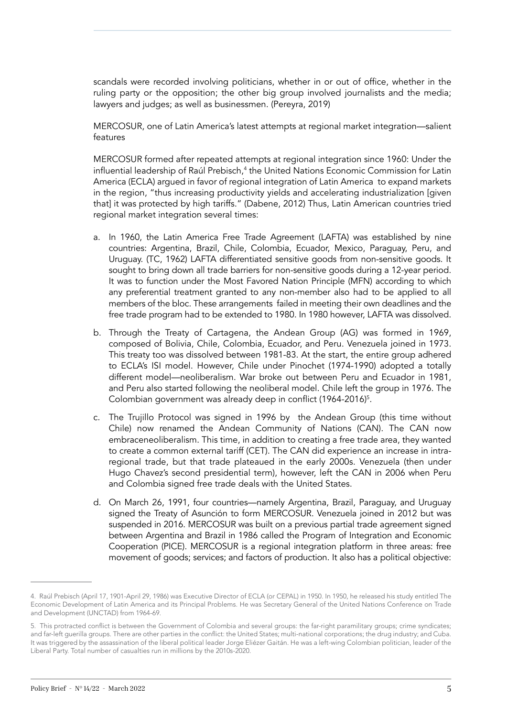scandals were recorded involving politicians, whether in or out of office, whether in the ruling party or the opposition; the other big group involved journalists and the media; lawyers and judges; as well as businessmen. (Pereyra, 2019)

MERCOSUR, one of Latin America's latest attempts at regional market integration—salient features

MERCOSUR formed after repeated attempts at regional integration since 1960: Under the influential leadership of Raúl Prebisch,<sup>4</sup> the United Nations Economic Commission for Latin America (ECLA) argued in favor of regional integration of Latin America to expand markets in the region, "thus increasing productivity yields and accelerating industrialization [given that] it was protected by high tariffs." (Dabene, 2012) Thus, Latin American countries tried regional market integration several times:

- a. In 1960, the Latin America Free Trade Agreement (LAFTA) was established by nine countries: Argentina, Brazil, Chile, Colombia, Ecuador, Mexico, Paraguay, Peru, and Uruguay. (TC, 1962) LAFTA differentiated sensitive goods from non-sensitive goods. It sought to bring down all trade barriers for non-sensitive goods during a 12-year period. It was to function under the Most Favored Nation Principle (MFN) according to which any preferential treatment granted to any non-member also had to be applied to all members of the bloc. These arrangements failed in meeting their own deadlines and the free trade program had to be extended to 1980. In 1980 however, LAFTA was dissolved.
- b. Through the Treaty of Cartagena, the Andean Group (AG) was formed in 1969, composed of Bolivia, Chile, Colombia, Ecuador, and Peru. Venezuela joined in 1973. This treaty too was dissolved between 1981-83. At the start, the entire group adhered to ECLA's ISI model. However, Chile under Pinochet (1974-1990) adopted a totally different model—neoliberalism. War broke out between Peru and Ecuador in 1981, and Peru also started following the neoliberal model. Chile left the group in 1976. The Colombian government was already deep in conflict (1964-2016)<sup>5</sup>.
- c. The Trujillo Protocol was signed in 1996 by the Andean Group (this time without Chile) now renamed the Andean Community of Nations (CAN). The CAN now embraceneoliberalism. This time, in addition to creating a free trade area, they wanted to create a common external tariff (CET). The CAN did experience an increase in intraregional trade, but that trade plateaued in the early 2000s. Venezuela (then under Hugo Chavez's second presidential term), however, left the CAN in 2006 when Peru and Colombia signed free trade deals with the United States.
- d. On March 26, 1991, four countries—namely Argentina, Brazil, Paraguay, and Uruguay signed the Treaty of Asunción to form MERCOSUR. Venezuela joined in 2012 but was suspended in 2016. MERCOSUR was built on a previous partial trade agreement signed between Argentina and Brazil in 1986 called the Program of Integration and Economic Cooperation (PICE). MERCOSUR is a regional integration platform in three areas: free movement of goods; services; and factors of production. It also has a political objective:

<sup>4.</sup> Raúl Prebisch (April 17, 1901-April 29, 1986) was Executive Director of ECLA (or CEPAL) in 1950. In 1950, he released his study entitled The Economic Development of Latin America and its Principal Problems. He was Secretary General of the United Nations Conference on Trade and Development (UNCTAD) from 1964-69.

<sup>5.</sup> This protracted conflict is between the Government of Colombia and several groups: the far-right paramilitary groups; crime syndicates; and far-left guerilla groups. There are other parties in the conflict: the United States; multi-national corporations; the drug industry; and Cuba. It was triggered by the assassination of the liberal political leader Jorge Eliézer Gaitán. He was a left-wing Colombian politician, leader of the Liberal Party. Total number of casualties run in millions by the 2010s-2020.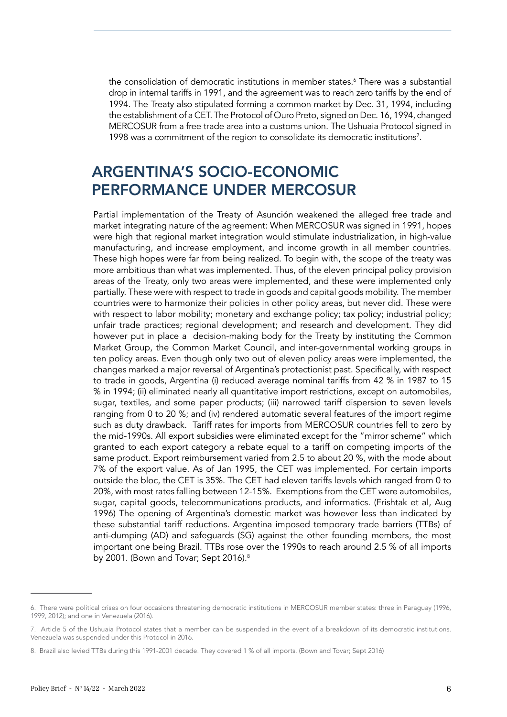the consolidation of democratic institutions in member states.6 There was a substantial drop in internal tariffs in 1991, and the agreement was to reach zero tariffs by the end of 1994. The Treaty also stipulated forming a common market by Dec. 31, 1994, including the establishment of a CET. The Protocol of Ouro Preto, signed on Dec. 16, 1994, changed MERCOSUR from a free trade area into a customs union. The Ushuaia Protocol signed in 1998 was a commitment of the region to consolidate its democratic institutions<sup>7</sup>.

### ARGENTINA'S SOCIO-ECONOMIC PERFORMANCE UNDER MERCOSUR

Partial implementation of the Treaty of Asunción weakened the alleged free trade and market integrating nature of the agreement: When MERCOSUR was signed in 1991, hopes were high that regional market integration would stimulate industrialization, in high-value manufacturing, and increase employment, and income growth in all member countries. These high hopes were far from being realized. To begin with, the scope of the treaty was more ambitious than what was implemented. Thus, of the eleven principal policy provision areas of the Treaty, only two areas were implemented, and these were implemented only partially. These were with respect to trade in goods and capital goods mobility. The member countries were to harmonize their policies in other policy areas, but never did. These were with respect to labor mobility; monetary and exchange policy; tax policy; industrial policy; unfair trade practices; regional development; and research and development. They did however put in place a decision-making body for the Treaty by instituting the Common Market Group, the Common Market Council, and inter-governmental working groups in ten policy areas. Even though only two out of eleven policy areas were implemented, the changes marked a major reversal of Argentina's protectionist past. Specifically, with respect to trade in goods, Argentina (i) reduced average nominal tariffs from 42 % in 1987 to 15 % in 1994; (ii) eliminated nearly all quantitative import restrictions, except on automobiles, sugar, textiles, and some paper products; (iii) narrowed tariff dispersion to seven levels ranging from 0 to 20 %; and (iv) rendered automatic several features of the import regime such as duty drawback. Tariff rates for imports from MERCOSUR countries fell to zero by the mid-1990s. All export subsidies were eliminated except for the "mirror scheme" which granted to each export category a rebate equal to a tariff on competing imports of the same product. Export reimbursement varied from 2.5 to about 20 %, with the mode about 7% of the export value. As of Jan 1995, the CET was implemented. For certain imports outside the bloc, the CET is 35%. The CET had eleven tariffs levels which ranged from 0 to 20%, with most rates falling between 12-15%. Exemptions from the CET were automobiles, sugar, capital goods, telecommunications products, and informatics. (Frishtak et al, Aug 1996) The opening of Argentina's domestic market was however less than indicated by these substantial tariff reductions. Argentina imposed temporary trade barriers (TTBs) of anti-dumping (AD) and safeguards (SG) against the other founding members, the most important one being Brazil. TTBs rose over the 1990s to reach around 2.5 % of all imports by 2001. (Bown and Tovar; Sept 2016).<sup>8</sup>

<sup>6.</sup> There were political crises on four occasions threatening democratic institutions in MERCOSUR member states: three in Paraguay (1996, 1999, 2012); and one in Venezuela (2016).

<sup>7.</sup> Article 5 of the Ushuaia Protocol states that a member can be suspended in the event of a breakdown of its democratic institutions. Venezuela was suspended under this Protocol in 2016.

<sup>8.</sup> Brazil also levied TTBs during this 1991-2001 decade. They covered 1 % of all imports. (Bown and Tovar; Sept 2016)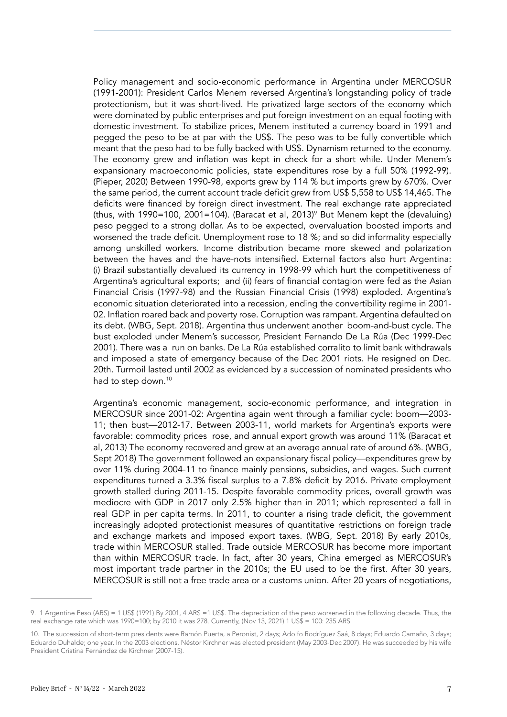Policy management and socio-economic performance in Argentina under MERCOSUR (1991-2001): President Carlos Menem reversed Argentina's longstanding policy of trade protectionism, but it was short-lived. He privatized large sectors of the economy which were dominated by public enterprises and put foreign investment on an equal footing with domestic investment. To stabilize prices, Menem instituted a currency board in 1991 and pegged the peso to be at par with the US\$. The peso was to be fully convertible which meant that the peso had to be fully backed with US\$. Dynamism returned to the economy. The economy grew and inflation was kept in check for a short while. Under Menem's expansionary macroeconomic policies, state expenditures rose by a full 50% (1992-99). (Pieper, 2020) Between 1990-98, exports grew by 114 % but imports grew by 670%. Over the same period, the current account trade deficit grew from US\$ 5,558 to US\$ 14,465. The deficits were financed by foreign direct investment. The real exchange rate appreciated (thus, with 1990=100, 2001=104). (Baracat et al, 2013)<sup>,</sup> But Menem kept the (devaluing) peso pegged to a strong dollar. As to be expected, overvaluation boosted imports and worsened the trade deficit. Unemployment rose to 18 %; and so did informality especially among unskilled workers. Income distribution became more skewed and polarization between the haves and the have-nots intensified. External factors also hurt Argentina: (i) Brazil substantially devalued its currency in 1998-99 which hurt the competitiveness of Argentina's agricultural exports; and (ii) fears of financial contagion were fed as the Asian Financial Crisis (1997-98) and the Russian Financial Crisis (1998) exploded. Argentina's economic situation deteriorated into a recession, ending the convertibility regime in 2001- 02. Inflation roared back and poverty rose. Corruption was rampant. Argentina defaulted on its debt. (WBG, Sept. 2018). Argentina thus underwent another boom-and-bust cycle. The bust exploded under Menem's successor, President Fernando De La Rúa (Dec 1999-Dec 2001). There was a run on banks. De La Rúa established corralito to limit bank withdrawals and imposed a state of emergency because of the Dec 2001 riots. He resigned on Dec. 20th. Turmoil lasted until 2002 as evidenced by a succession of nominated presidents who had to step down.<sup>10</sup>

Argentina's economic management, socio-economic performance, and integration in MERCOSUR since 2001-02: Argentina again went through a familiar cycle: boom—2003- 11; then bust—2012-17. Between 2003-11, world markets for Argentina's exports were favorable: commodity prices rose, and annual export growth was around 11% (Baracat et al, 2013) The economy recovered and grew at an average annual rate of around 6%. (WBG, Sept 2018) The government followed an expansionary fiscal policy—expenditures grew by over 11% during 2004-11 to finance mainly pensions, subsidies, and wages. Such current expenditures turned a 3.3% fiscal surplus to a 7.8% deficit by 2016. Private employment growth stalled during 2011-15. Despite favorable commodity prices, overall growth was mediocre with GDP in 2017 only 2.5% higher than in 2011; which represented a fall in real GDP in per capita terms. In 2011, to counter a rising trade deficit, the government increasingly adopted protectionist measures of quantitative restrictions on foreign trade and exchange markets and imposed export taxes. (WBG, Sept. 2018) By early 2010s, trade within MERCOSUR stalled. Trade outside MERCOSUR has become more important than within MERCOSUR trade. In fact, after 30 years, China emerged as MERCOSUR's most important trade partner in the 2010s; the EU used to be the first. After 30 years, MERCOSUR is still not a free trade area or a customs union. After 20 years of negotiations,

<sup>9. 1</sup> Argentine Peso (ARS) = 1 US\$ (1991) By 2001, 4 ARS =1 US\$. The depreciation of the peso worsened in the following decade. Thus, the real exchange rate which was 1990=100; by 2010 it was 278. Currently, (Nov 13, 2021) 1 US\$ = 100: 235 ARS

<sup>10.</sup> The succession of short-term presidents were Ramón Puerta, a Peronist, 2 days; Adolfo Rodríguez Saá, 8 days; Eduardo Camaño, 3 days; Eduardo Duhalde; one year. In the 2003 elections, Néstor Kirchner was elected president (May 2003-Dec 2007). He was succeeded by his wife President Cristina Fernández de Kirchner (2007-15).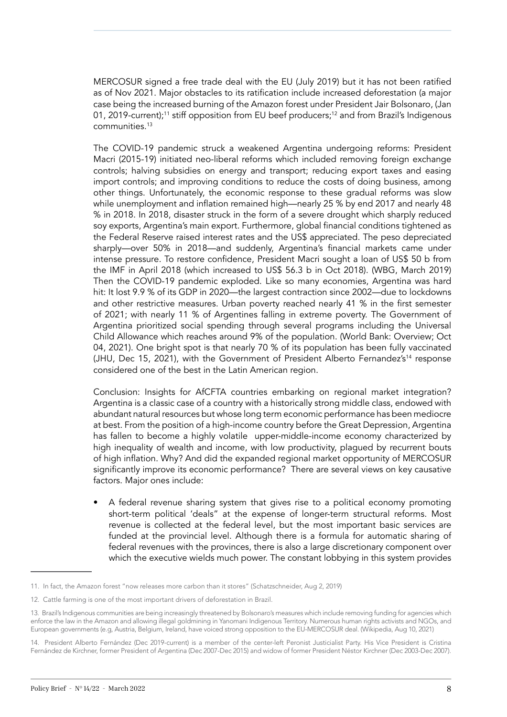MERCOSUR signed a free trade deal with the EU (July 2019) but it has not been ratified as of Nov 2021. Major obstacles to its ratification include increased deforestation (a major case being the increased burning of the Amazon forest under President Jair Bolsonaro, (Jan 01, 2019-current);<sup>11</sup> stiff opposition from EU beef producers;<sup>12</sup> and from Brazil's Indigenous communities.13

The COVID-19 pandemic struck a weakened Argentina undergoing reforms: President Macri (2015-19) initiated neo-liberal reforms which included removing foreign exchange controls; halving subsidies on energy and transport; reducing export taxes and easing import controls; and improving conditions to reduce the costs of doing business, among other things. Unfortunately, the economic response to these gradual reforms was slow while unemployment and inflation remained high—nearly 25 % by end 2017 and nearly 48 % in 2018. In 2018, disaster struck in the form of a severe drought which sharply reduced soy exports, Argentina's main export. Furthermore, global financial conditions tightened as the Federal Reserve raised interest rates and the US\$ appreciated. The peso depreciated sharply—over 50% in 2018—and suddenly, Argentina's financial markets came under intense pressure. To restore confidence, President Macri sought a loan of US\$ 50 b from the IMF in April 2018 (which increased to US\$ 56.3 b in Oct 2018). (WBG, March 2019) Then the COVID-19 pandemic exploded. Like so many economies, Argentina was hard hit: It lost 9.9 % of its GDP in 2020—the largest contraction since 2002—due to lockdowns and other restrictive measures. Urban poverty reached nearly 41 % in the first semester of 2021; with nearly 11 % of Argentines falling in extreme poverty. The Government of Argentina prioritized social spending through several programs including the Universal Child Allowance which reaches around 9% of the population. (World Bank: Overview; Oct 04, 2021). One bright spot is that nearly 70 % of its population has been fully vaccinated (JHU, Dec 15, 2021), with the Government of President Alberto Fernandez's<sup>14</sup> response considered one of the best in the Latin American region.

Conclusion: Insights for AfCFTA countries embarking on regional market integration? Argentina is a classic case of a country with a historically strong middle class, endowed with abundant natural resources but whose long term economic performance has been mediocre at best. From the position of a high-income country before the Great Depression, Argentina has fallen to become a highly volatile upper-middle-income economy characterized by high inequality of wealth and income, with low productivity, plagued by recurrent bouts of high inflation. Why? And did the expanded regional market opportunity of MERCOSUR significantly improve its economic performance? There are several views on key causative factors. Major ones include:

• A federal revenue sharing system that gives rise to a political economy promoting short-term political 'deals" at the expense of longer-term structural reforms. Most revenue is collected at the federal level, but the most important basic services are funded at the provincial level. Although there is a formula for automatic sharing of federal revenues with the provinces, there is also a large discretionary component over which the executive wields much power. The constant lobbying in this system provides

<sup>11.</sup> In fact, the Amazon forest "now releases more carbon than it stores" (Schatzschneider, Aug 2, 2019)

<sup>12.</sup> Cattle farming is one of the most important drivers of deforestation in Brazil.

<sup>13.</sup> Brazil's Indigenous communities are being increasingly threatened by Bolsonaro's measures which include removing funding for agencies which enforce the law in the Amazon and allowing illegal goldmining in Yanomani Indigenous Territory. Numerous human rights activists and NGOs, and European governments (e.g, Austria, Belgium, Ireland, have voiced strong opposition to the EU-MERCOSUR deal. (Wikipedia, Aug 10, 2021)

<sup>14.</sup> President Alberto Fernández (Dec 2019-current) is a member of the center-left Peronist Justicialist Party. His Vice President is Cristina Fernández de Kirchner, former President of Argentina (Dec 2007-Dec 2015) and widow of former President Néstor Kirchner (Dec 2003-Dec 2007).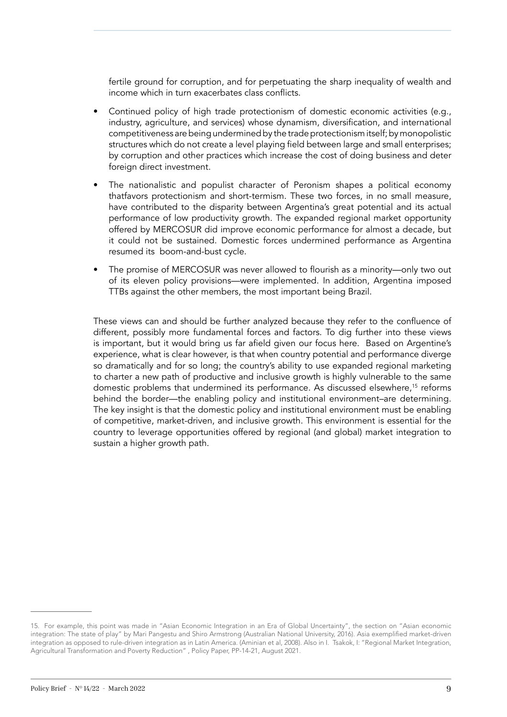fertile ground for corruption, and for perpetuating the sharp inequality of wealth and income which in turn exacerbates class conflicts.

- Continued policy of high trade protectionism of domestic economic activities (e.g., industry, agriculture, and services) whose dynamism, diversification, and international competitiveness are being undermined by the trade protectionism itself; by monopolistic structures which do not create a level playing field between large and small enterprises; by corruption and other practices which increase the cost of doing business and deter foreign direct investment.
- The nationalistic and populist character of Peronism shapes a political economy thatfavors protectionism and short-termism. These two forces, in no small measure, have contributed to the disparity between Argentina's great potential and its actual performance of low productivity growth. The expanded regional market opportunity offered by MERCOSUR did improve economic performance for almost a decade, but it could not be sustained. Domestic forces undermined performance as Argentina resumed its boom-and-bust cycle.
- The promise of MERCOSUR was never allowed to flourish as a minority—only two out of its eleven policy provisions—were implemented. In addition, Argentina imposed TTBs against the other members, the most important being Brazil.

These views can and should be further analyzed because they refer to the confluence of different, possibly more fundamental forces and factors. To dig further into these views is important, but it would bring us far afield given our focus here. Based on Argentine's experience, what is clear however, is that when country potential and performance diverge so dramatically and for so long; the country's ability to use expanded regional marketing to charter a new path of productive and inclusive growth is highly vulnerable to the same domestic problems that undermined its performance. As discussed elsewhere,<sup>15</sup> reforms behind the border—the enabling policy and institutional environment–are determining. The key insight is that the domestic policy and institutional environment must be enabling of competitive, market-driven, and inclusive growth. This environment is essential for the country to leverage opportunities offered by regional (and global) market integration to sustain a higher growth path.

<sup>15.</sup> For example, this point was made in "Asian Economic Integration in an Era of Global Uncertainty", the section on "Asian economic integration: The state of play" by Mari Pangestu and Shiro Armstrong (Australian National University, 2016). Asia exemplified market-driven integration as opposed to rule-driven integration as in Latin America. (Aminian et al, 2008). Also in I. Tsakok, I: "Regional Market Integration, Agricultural Transformation and Poverty Reduction" , Policy Paper, PP-14-21, August 2021.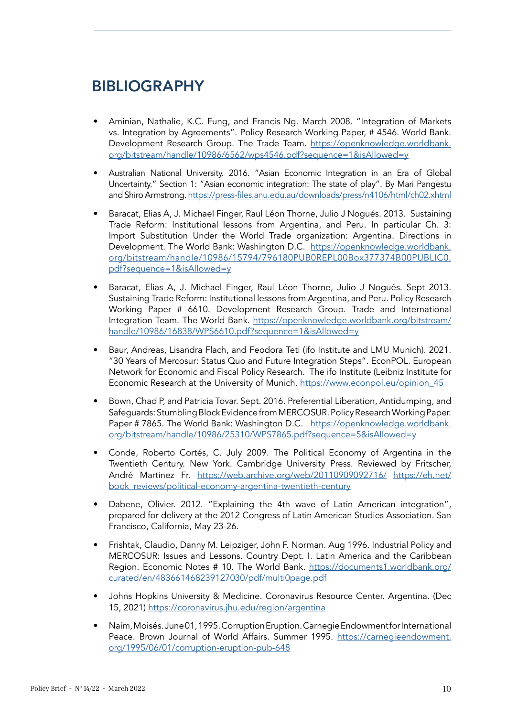## BIBLIOGRAPHY

- Aminian, Nathalie, K.C. Fung, and Francis Ng. March 2008. "Integration of Markets vs. Integration by Agreements". Policy Research Working Paper, # 4546. World Bank. Development Research Group. The Trade Team. [https://openknowledge.worldbank.](https://openknowledge.worldbank.org/bitstream/handle/10986/6562/wps4546.pdf?sequence=1&isAllowed=y) [org/bitstream/handle/10986/6562/wps4546.pdf?sequence=1&isAllowed=y](https://openknowledge.worldbank.org/bitstream/handle/10986/6562/wps4546.pdf?sequence=1&isAllowed=y)
- Australian National University. 2016. "Asian Economic Integration in an Era of Global Uncertainty." Section 1: "Asian economic integration: The state of play". By Mari Pangestu and Shiro Armstrong. https://press-files.[anu.edu.au/downloads/press/n4106/html/ch02.xhtml](https://press-files.anu.edu.au/downloads/press/n4106/html/ch02.xhtml)
- Baracat, Elias A, J. Michael Finger, Raul Léon Thorne, Julio J Nogués. 2013. Sustaining Trade Reform: Institutional lessons from Argentina, and Peru. In particular Ch. 3: Import Substitution Under the World Trade organization: Argentina. Directions in Development. The World Bank: Washington D.C. [https://openknowledge.worldbank.](https://openknowledge.worldbank.org/bitstream/handle/10986/15794/796180PUB0REPL00Box377374B00PUBLIC0.pdf?sequence=1&isAllowed=y) [org/bitstream/handle/10986/15794/796180PUB0REPL00Box377374B00PUBLIC0.](https://openknowledge.worldbank.org/bitstream/handle/10986/15794/796180PUB0REPL00Box377374B00PUBLIC0.pdf?sequence=1&isAllowed=y) [pdf?sequence=1&isAllowed=y](https://openknowledge.worldbank.org/bitstream/handle/10986/15794/796180PUB0REPL00Box377374B00PUBLIC0.pdf?sequence=1&isAllowed=y)
- Baracat, Elias A, J. Michael Finger, Raul Léon Thorne, Julio J Nogués. Sept 2013. Sustaining Trade Reform: Institutional lessons from Argentina, and Peru. Policy Research Working Paper # 6610. Development Research Group. Trade and International Integration Team. The World Bank. [https://openknowledge.worldbank.org/bitstream/](https://openknowledge.worldbank.org/bitstream/handle/10986/16838/WPS6610.pdf?sequence=1&isAllowed=y) [handle/10986/16838/WPS6610.pdf?sequence=1&isAllowed=y](https://openknowledge.worldbank.org/bitstream/handle/10986/16838/WPS6610.pdf?sequence=1&isAllowed=y)
- Baur, Andreas, Lisandra Flach, and Feodora Teti (ifo Institute and LMU Munich). 2021. "30 Years of Mercosur: Status Quo and Future Integration Steps". EconPOL. European Network for Economic and Fiscal Policy Research. The ifo Institute (Leibniz Institute for Economic Research at the University of Munich. [https://www.econpol.eu/opinion\\_45](https://www.econpol.eu/opinion_45)
- Bown, Chad P, and Patricia Tovar. Sept. 2016. Preferential Liberation, Antidumping, and Safeguards: Stumbling Block Evidence from MERCOSUR. Policy Research Working Paper. Paper # 7865. The World Bank: Washington D.C. [https://openknowledge.worldbank.](https://openknowledge.worldbank.org/bitstream/handle/10986/25310/WPS7865.pdf?sequence=5&isAllowed=y) [org/bitstream/handle/10986/25310/WPS7865.pdf?sequence=5&isAllowed=y](https://openknowledge.worldbank.org/bitstream/handle/10986/25310/WPS7865.pdf?sequence=5&isAllowed=y)
- Conde, Roberto Cortés, C. July 2009. The Political Economy of Argentina in the Twentieth Century. New York. Cambridge University Press. Reviewed by Fritscher, André Martinez Fr. <https://web.archive.org/web/20110909092716/> [https://eh.net/](https://eh.net/book_reviews/political-economy-argentina-twentieth-century) [book\\_reviews/political-economy-argentina-twentieth-century](https://eh.net/book_reviews/political-economy-argentina-twentieth-century)
- Dabene, Olivier. 2012. "Explaining the 4th wave of Latin American integration", prepared for delivery at the 2012 Congress of Latin American Studies Association. San Francisco, California, May 23-26.
- Frishtak, Claudio, Danny M. Leipziger, John F. Norman. Aug 1996. Industrial Policy and MERCOSUR: Issues and Lessons. Country Dept. I. Latin America and the Caribbean Region. Economic Notes # 10. The World Bank. [https://documents1.worldbank.org/](https://documents1.worldbank.org/curated/en/483661468239127030/pdf/multi0page.pdf) [curated/en/483661468239127030/pdf/multi0page.pdf](https://documents1.worldbank.org/curated/en/483661468239127030/pdf/multi0page.pdf)
- Johns Hopkins University & Medicine. Coronavirus Resource Center. Argentina. (Dec 15, 2021)<https://coronavirus.jhu.edu/region/argentina>
- Naím, Moisés. June 01, 1995. Corruption Eruption. Carnegie Endowment for International Peace. Brown Journal of World Affairs. Summer 1995. [https://carnegieendowment.](https://carnegieendowment.org/1995/06/01/corruption-eruption-pub-648) [org/1995/06/01/corruption-eruption-pub-648](https://carnegieendowment.org/1995/06/01/corruption-eruption-pub-648)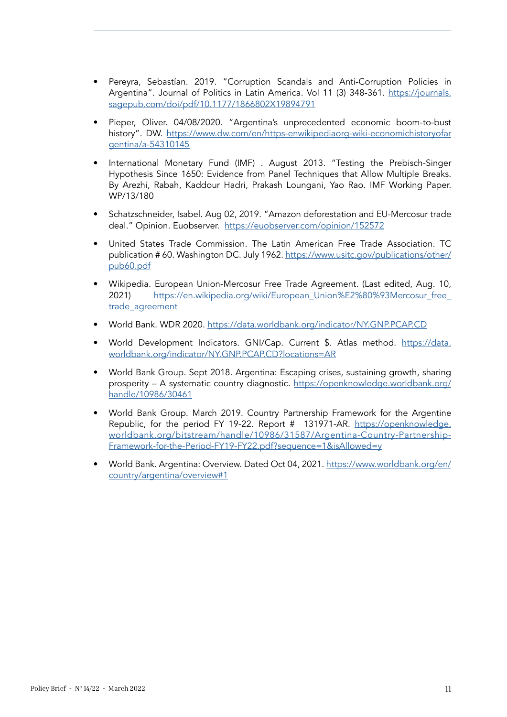- Pereyra, Sebastían. 2019. "Corruption Scandals and Anti-Corruption Policies in Argentina". Journal of Politics in Latin America. Vol 11 (3) 348-361. [https://journals.](https://journals.sagepub.com/doi/pdf/10.1177/1866802X19894791) [sagepub.com/doi/pdf/10.1177/1866802X19894791](https://journals.sagepub.com/doi/pdf/10.1177/1866802X19894791)
- Pieper, Oliver. 04/08/2020. "Argentina's unprecedented economic boom-to-bust history". DW. [https://www.dw.com/en/https-enwikipediaorg-wiki-economichistoryofar](https://www.dw.com/en/https-enwikipediaorg-wiki-economichistoryofargentina/a-54310145) [gentina/a-54310145](https://www.dw.com/en/https-enwikipediaorg-wiki-economichistoryofargentina/a-54310145)
- International Monetary Fund (IMF) . August 2013. "Testing the Prebisch-Singer Hypothesis Since 1650: Evidence from Panel Techniques that Allow Multiple Breaks. By Arezhi, Rabah, Kaddour Hadri, Prakash Loungani, Yao Rao. IMF Working Paper. WP/13/180
- Schatzschneider, Isabel. Aug 02, 2019. "Amazon deforestation and EU-Mercosur trade deal." Opinion. Euobserver. <https://euobserver.com/opinion/152572>
- United States Trade Commission. The Latin American Free Trade Association. TC publication # 60. Washington DC. July 1962. [https://www.usitc.gov/publications/other/](https://www.usitc.gov/publications/other/pub60.pdf) [pub60.pdf](https://www.usitc.gov/publications/other/pub60.pdf)
- Wikipedia. European Union-Mercosur Free Trade Agreement. (Last edited, Aug. 10, 2021) https://en.wikipedia.org/wiki/European\_Union%E2%80%93Mercosur\_free [trade\\_agreement](https://en.wikipedia.org/wiki/European_Union%E2%80%93Mercosur_free_trade_agreement)
- World Bank. WDR 2020. <https://data.worldbank.org/indicator/NY.GNP.PCAP.CD>
- World Development Indicators. GNI/Cap. Current \$. Atlas method. [https://data.](https://data.worldbank.org/indicator/NY.GNP.PCAP.CD?locations=AR) [worldbank.org/indicator/NY.GNP.PCAP.CD?locations=AR](https://data.worldbank.org/indicator/NY.GNP.PCAP.CD?locations=AR)
- World Bank Group. Sept 2018. Argentina: Escaping crises, sustaining growth, sharing prosperity – A systematic country diagnostic. [https://openknowledge.worldbank.org/](https://openknowledge.worldbank.org/handle/10986/30461) [handle/10986/30461](https://openknowledge.worldbank.org/handle/10986/30461)
- World Bank Group. March 2019. Country Partnership Framework for the Argentine Republic, for the period FY 19-22. Report # 131971-AR. [https://openknowledge.](https://openknowledge.worldbank.org/bitstream/handle/10986/31587/Argentina-Country-Partnership-Framework-for-the-Period-FY19-FY22.pdf?sequence=1&isAllowed=y) [worldbank.org/bitstream/handle/10986/31587/Argentina-Country-Partnership-](https://openknowledge.worldbank.org/bitstream/handle/10986/31587/Argentina-Country-Partnership-Framework-for-the-Period-FY19-FY22.pdf?sequence=1&isAllowed=y)[Framework-for-the-Period-FY19-FY22.pdf?sequence=1&isAllowed=y](https://openknowledge.worldbank.org/bitstream/handle/10986/31587/Argentina-Country-Partnership-Framework-for-the-Period-FY19-FY22.pdf?sequence=1&isAllowed=y)
- World Bank. Argentina: Overview. Dated Oct 04, 2021. [https://www.worldbank.org/en/](https://www.worldbank.org/en/country/argentina/overview#1) [country/argentina/overview#1](https://www.worldbank.org/en/country/argentina/overview#1)